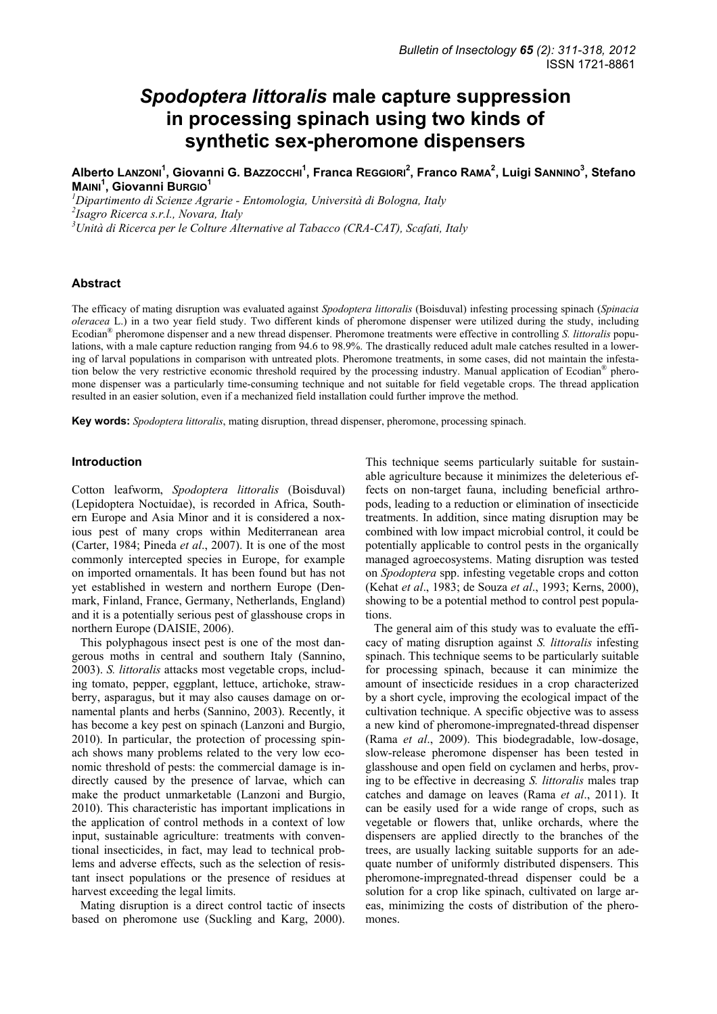# *Spodoptera littoralis* **male capture suppression in processing spinach using two kinds of synthetic sex-pheromone dispensers**

**Alberto LANZONI<sup>1</sup> , Giovanni G. BAZZOCCHI<sup>1</sup> , Franca REGGIORI2 , Franco RAMA2 , Luigi SANNINO3 , Stefano MAINI<sup>1</sup> , Giovanni BURGIO1**

*1 Dipartimento di Scienze Agrarie - Entomologia, Università di Bologna, Italy 2 Isagro Ricerca s.r.l., Novara, Italy 3 Unità di Ricerca per le Colture Alternative al Tabacco (CRA-CAT), Scafati, Italy* 

## **Abstract**

The efficacy of mating disruption was evaluated against *Spodoptera littoralis* (Boisduval) infesting processing spinach (*Spinacia oleracea* L.) in a two year field study. Two different kinds of pheromone dispenser were utilized during the study, including Ecodian® pheromone dispenser and a new thread dispenser. Pheromone treatments were effective in controlling *S. littoralis* populations, with a male capture reduction ranging from 94.6 to 98.9%. The drastically reduced adult male catches resulted in a lowering of larval populations in comparison with untreated plots. Pheromone treatments, in some cases, did not maintain the infestation below the very restrictive economic threshold required by the processing industry. Manual application of Ecodian® pheromone dispenser was a particularly time-consuming technique and not suitable for field vegetable crops. The thread application resulted in an easier solution, even if a mechanized field installation could further improve the method.

**Key words:** *Spodoptera littoralis*, mating disruption, thread dispenser, pheromone, processing spinach.

#### **Introduction**

Cotton leafworm, *Spodoptera littoralis* (Boisduval) (Lepidoptera Noctuidae), is recorded in Africa, Southern Europe and Asia Minor and it is considered a noxious pest of many crops within Mediterranean area (Carter, 1984; Pineda *et al*., 2007). It is one of the most commonly intercepted species in Europe, for example on imported ornamentals. It has been found but has not yet established in western and northern Europe (Denmark, Finland, France, Germany, Netherlands, England) and it is a potentially serious pest of glasshouse crops in northern Europe (DAISIE, 2006).

This polyphagous insect pest is one of the most dangerous moths in central and southern Italy (Sannino, 2003). *S. littoralis* attacks most vegetable crops, including tomato, pepper, eggplant, lettuce, artichoke, strawberry, asparagus, but it may also causes damage on ornamental plants and herbs (Sannino, 2003). Recently, it has become a key pest on spinach (Lanzoni and Burgio, 2010). In particular, the protection of processing spinach shows many problems related to the very low economic threshold of pests: the commercial damage is indirectly caused by the presence of larvae, which can make the product unmarketable (Lanzoni and Burgio, 2010). This characteristic has important implications in the application of control methods in a context of low input, sustainable agriculture: treatments with conventional insecticides, in fact, may lead to technical problems and adverse effects, such as the selection of resistant insect populations or the presence of residues at harvest exceeding the legal limits.

Mating disruption is a direct control tactic of insects based on pheromone use (Suckling and Karg, 2000). This technique seems particularly suitable for sustainable agriculture because it minimizes the deleterious effects on non-target fauna, including beneficial arthropods, leading to a reduction or elimination of insecticide treatments. In addition, since mating disruption may be combined with low impact microbial control, it could be potentially applicable to control pests in the organically managed agroecosystems. Mating disruption was tested on *Spodoptera* spp. infesting vegetable crops and cotton (Kehat *et al*., 1983; de Souza *et al*., 1993; Kerns, 2000), showing to be a potential method to control pest populations.

The general aim of this study was to evaluate the efficacy of mating disruption against *S. littoralis* infesting spinach. This technique seems to be particularly suitable for processing spinach, because it can minimize the amount of insecticide residues in a crop characterized by a short cycle, improving the ecological impact of the cultivation technique. A specific objective was to assess a new kind of pheromone-impregnated-thread dispenser (Rama *et al*., 2009). This biodegradable, low-dosage, slow-release pheromone dispenser has been tested in glasshouse and open field on cyclamen and herbs, proving to be effective in decreasing *S. littoralis* males trap catches and damage on leaves (Rama *et al*., 2011). It can be easily used for a wide range of crops, such as vegetable or flowers that, unlike orchards, where the dispensers are applied directly to the branches of the trees, are usually lacking suitable supports for an adequate number of uniformly distributed dispensers. This pheromone-impregnated-thread dispenser could be a solution for a crop like spinach, cultivated on large areas, minimizing the costs of distribution of the pheromones.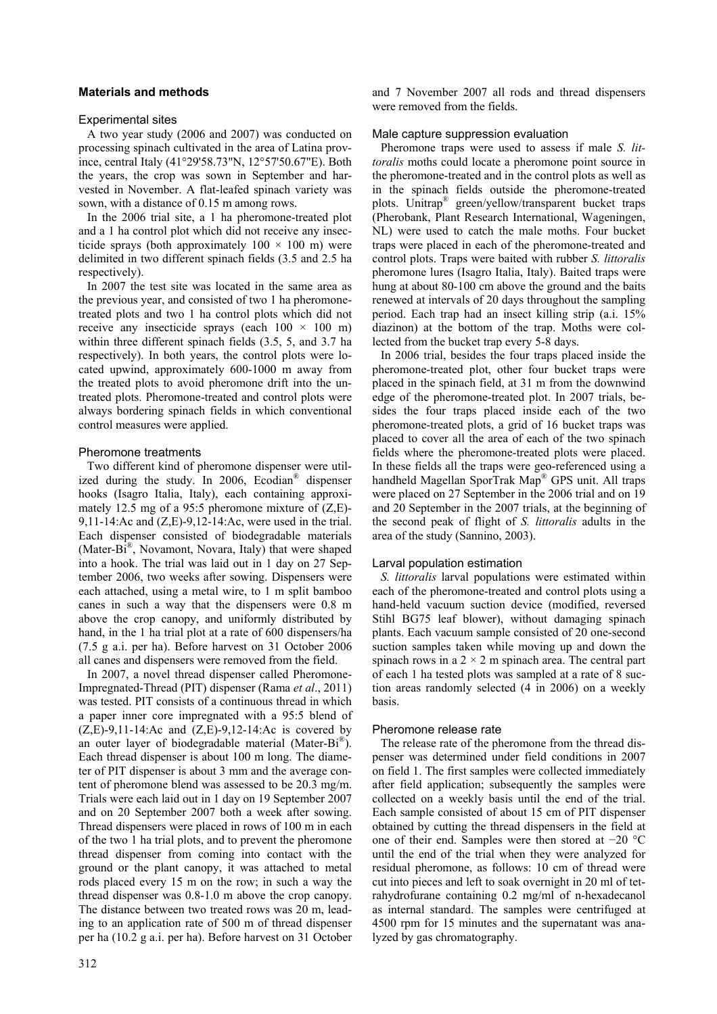# **Materials and methods**

## Experimental sites

A two year study (2006 and 2007) was conducted on processing spinach cultivated in the area of Latina province, central Italy (41°29'58.73"N, 12°57'50.67"E). Both the years, the crop was sown in September and harvested in November. A flat-leafed spinach variety was sown, with a distance of 0.15 m among rows.

In the 2006 trial site, a 1 ha pheromone-treated plot and a 1 ha control plot which did not receive any insecticide sprays (both approximately  $100 \times 100$  m) were delimited in two different spinach fields (3.5 and 2.5 ha respectively).

In 2007 the test site was located in the same area as the previous year, and consisted of two 1 ha pheromonetreated plots and two 1 ha control plots which did not receive any insecticide sprays (each  $100 \times 100$  m) within three different spinach fields (3.5, 5, and 3.7 ha respectively). In both years, the control plots were located upwind, approximately 600-1000 m away from the treated plots to avoid pheromone drift into the untreated plots. Pheromone-treated and control plots were always bordering spinach fields in which conventional control measures were applied.

## Pheromone treatments

Two different kind of pheromone dispenser were utilized during the study. In 2006, Ecodian® dispenser hooks (Isagro Italia, Italy), each containing approximately 12.5 mg of a 95:5 pheromone mixture of (Z,E)- 9,11-14:Ac and (Z,E)-9,12-14:Ac, were used in the trial. Each dispenser consisted of biodegradable materials (Mater-Bi®, Novamont, Novara, Italy) that were shaped into a hook. The trial was laid out in 1 day on 27 September 2006, two weeks after sowing. Dispensers were each attached, using a metal wire, to 1 m split bamboo canes in such a way that the dispensers were 0.8 m above the crop canopy, and uniformly distributed by hand, in the 1 ha trial plot at a rate of 600 dispensers/ha (7.5 g a.i. per ha). Before harvest on 31 October 2006 all canes and dispensers were removed from the field.

In 2007, a novel thread dispenser called Pheromone-Impregnated-Thread (PIT) dispenser (Rama *et al*., 2011) was tested. PIT consists of a continuous thread in which a paper inner core impregnated with a 95:5 blend of  $(Z,E)$ -9,11-14:Ac and  $(Z,E)$ -9,12-14:Ac is covered by an outer layer of biodegradable material (Mater-Bi<sup>®</sup>). Each thread dispenser is about 100 m long. The diameter of PIT dispenser is about 3 mm and the average content of pheromone blend was assessed to be 20.3 mg/m. Trials were each laid out in 1 day on 19 September 2007 and on 20 September 2007 both a week after sowing. Thread dispensers were placed in rows of 100 m in each of the two 1 ha trial plots, and to prevent the pheromone thread dispenser from coming into contact with the ground or the plant canopy, it was attached to metal rods placed every 15 m on the row; in such a way the thread dispenser was 0.8-1.0 m above the crop canopy. The distance between two treated rows was 20 m, leading to an application rate of 500 m of thread dispenser per ha (10.2 g a.i. per ha). Before harvest on 31 October and 7 November 2007 all rods and thread dispensers were removed from the fields.

# Male capture suppression evaluation

Pheromone traps were used to assess if male *S. littoralis* moths could locate a pheromone point source in the pheromone-treated and in the control plots as well as in the spinach fields outside the pheromone-treated plots. Unitrap® green/yellow/transparent bucket traps (Pherobank, Plant Research International, Wageningen, NL) were used to catch the male moths. Four bucket traps were placed in each of the pheromone-treated and control plots. Traps were baited with rubber *S. littoralis* pheromone lures (Isagro Italia, Italy). Baited traps were hung at about 80-100 cm above the ground and the baits renewed at intervals of 20 days throughout the sampling period. Each trap had an insect killing strip (a.i. 15% diazinon) at the bottom of the trap. Moths were collected from the bucket trap every 5-8 days.

In 2006 trial, besides the four traps placed inside the pheromone-treated plot, other four bucket traps were placed in the spinach field, at 31 m from the downwind edge of the pheromone-treated plot. In 2007 trials, besides the four traps placed inside each of the two pheromone-treated plots, a grid of 16 bucket traps was placed to cover all the area of each of the two spinach fields where the pheromone-treated plots were placed. In these fields all the traps were geo-referenced using a handheld Magellan SporTrak Map® GPS unit. All traps were placed on 27 September in the 2006 trial and on 19 and 20 September in the 2007 trials, at the beginning of the second peak of flight of *S. littoralis* adults in the area of the study (Sannino, 2003).

## Larval population estimation

*S. littoralis* larval populations were estimated within each of the pheromone-treated and control plots using a hand-held vacuum suction device (modified, reversed Stihl BG75 leaf blower), without damaging spinach plants. Each vacuum sample consisted of 20 one-second suction samples taken while moving up and down the spinach rows in a  $2 \times 2$  m spinach area. The central part of each 1 ha tested plots was sampled at a rate of 8 suction areas randomly selected (4 in 2006) on a weekly basis.

## Pheromone release rate

The release rate of the pheromone from the thread dispenser was determined under field conditions in 2007 on field 1. The first samples were collected immediately after field application; subsequently the samples were collected on a weekly basis until the end of the trial. Each sample consisted of about 15 cm of PIT dispenser obtained by cutting the thread dispensers in the field at one of their end. Samples were then stored at −20 °C until the end of the trial when they were analyzed for residual pheromone, as follows: 10 cm of thread were cut into pieces and left to soak overnight in 20 ml of tetrahydrofurane containing 0.2 mg/ml of n-hexadecanol as internal standard. The samples were centrifuged at 4500 rpm for 15 minutes and the supernatant was analyzed by gas chromatography.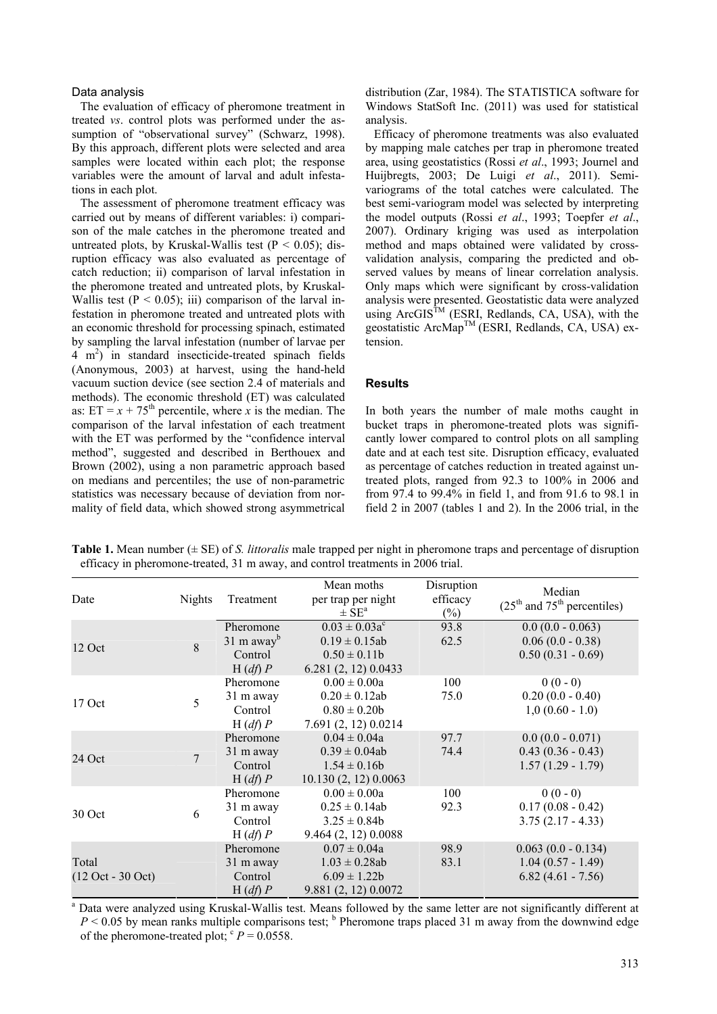#### Data analysis

The evaluation of efficacy of pheromone treatment in treated *vs*. control plots was performed under the assumption of "observational survey" (Schwarz, 1998). By this approach, different plots were selected and area samples were located within each plot; the response variables were the amount of larval and adult infestations in each plot.

The assessment of pheromone treatment efficacy was carried out by means of different variables: i) comparison of the male catches in the pheromone treated and untreated plots, by Kruskal-Wallis test ( $P < 0.05$ ); disruption efficacy was also evaluated as percentage of catch reduction; ii) comparison of larval infestation in the pheromone treated and untreated plots, by Kruskal-Wallis test  $(P < 0.05)$ ; iii) comparison of the larval infestation in pheromone treated and untreated plots with an economic threshold for processing spinach, estimated by sampling the larval infestation (number of larvae per 4 m2 ) in standard insecticide-treated spinach fields (Anonymous, 2003) at harvest, using the hand-held vacuum suction device (see section 2.4 of materials and methods). The economic threshold (ET) was calculated as:  $ET = x + 75<sup>th</sup>$  percentile, where *x* is the median. The comparison of the larval infestation of each treatment with the ET was performed by the "confidence interval method", suggested and described in Berthouex and Brown (2002), using a non parametric approach based on medians and percentiles; the use of non-parametric statistics was necessary because of deviation from normality of field data, which showed strong asymmetrical

distribution (Zar, 1984). The STATISTICA software for Windows StatSoft Inc. (2011) was used for statistical analysis.

Efficacy of pheromone treatments was also evaluated by mapping male catches per trap in pheromone treated area, using geostatistics (Rossi *et al*., 1993; Journel and Huijbregts, 2003; De Luigi *et al*., 2011). Semivariograms of the total catches were calculated. The best semi-variogram model was selected by interpreting the model outputs (Rossi *et al*., 1993; Toepfer *et al*., 2007). Ordinary kriging was used as interpolation method and maps obtained were validated by crossvalidation analysis, comparing the predicted and observed values by means of linear correlation analysis. Only maps which were significant by cross-validation analysis were presented. Geostatistic data were analyzed using  $ArcGIS^{TM}$  (ESRI, Redlands, CA, USA), with the geostatistic ArcMapTM (ESRI, Redlands, CA, USA) extension.

# **Results**

In both years the number of male moths caught in bucket traps in pheromone-treated plots was significantly lower compared to control plots on all sampling date and at each test site. Disruption efficacy, evaluated as percentage of catches reduction in treated against untreated plots, ranged from 92.3 to 100% in 2006 and from 97.4 to 99.4% in field 1, and from 91.6 to 98.1 in field 2 in 2007 (tables 1 and 2). In the 2006 trial, in the

| Table 1. Mean number $(\pm SE)$ of S. <i>littoralis</i> male trapped per night in pheromone traps and percentage of disruption |  |
|--------------------------------------------------------------------------------------------------------------------------------|--|
| efficacy in pheromone-treated, 31 m away, and control treatments in 2006 trial.                                                |  |

| Date                         | <b>Nights</b>  | Treatment                                                           | Mean moths<br>per trap per night<br>$\pm$ SE <sup>a</sup>                            | Disruption<br>efficacy<br>$(\%)$ | Median<br>$(25th$ and $75th$ percentiles)                          |
|------------------------------|----------------|---------------------------------------------------------------------|--------------------------------------------------------------------------------------|----------------------------------|--------------------------------------------------------------------|
| $12$ Oct                     | 8              | Pheromone<br>$31 \text{ m}$ away <sup>b</sup><br>Control<br>H(df) P | $0.03 \pm 0.03a^c$<br>$0.19 \pm 0.15$ ab<br>$0.50 \pm 0.11b$<br>6.281 (2, 12) 0.0433 | 93.8<br>62.5                     | $0.0 (0.0 - 0.063)$<br>$0.06(0.0 - 0.38)$<br>$0.50(0.31 - 0.69)$   |
| 17 Oct                       | 5              | Pheromone<br>31 m away<br>Control<br>H(df) P                        | $0.00 \pm 0.00a$<br>$0.20 \pm 0.12$ ab<br>$0.80 \pm 0.20b$<br>7.691 (2, 12) 0.0214   | 100<br>75.0                      | $0(0-0)$<br>$0.20(0.0 - 0.40)$<br>$1,0(0.60 - 1.0)$                |
| 24 Oct                       | $\overline{7}$ | Pheromone<br>31 m away<br>Control<br>H(df) P                        | $0.04 \pm 0.04a$<br>$0.39 \pm 0.04ab$<br>$1.54 \pm 0.16b$<br>10.130(2, 12)0.0063     | 97.7<br>74.4                     | $0.0(0.0 - 0.071)$<br>$0.43(0.36 - 0.43)$<br>$1.57(1.29 - 1.79)$   |
| 30 Oct                       | 6              | Pheromone<br>31 m away<br>Control<br>H(df) P                        | $0.00 \pm 0.00a$<br>$0.25 \pm 0.14$ ab<br>$3.25 \pm 0.84b$<br>9.464(2, 12)0.0088     | 100<br>92.3                      | $0(0-0)$<br>$0.17(0.08 - 0.42)$<br>$3.75(2.17 - 4.33)$             |
| Total<br>$(12 Oct - 30 Oct)$ |                | Pheromone<br>31 m away<br>Control<br>H(df) P                        | $0.07 \pm 0.04a$<br>$1.03 \pm 0.28$ ab<br>$6.09 \pm 1.22b$<br>9.881 (2, 12) 0.0072   | 98.9<br>83.1                     | $0.063(0.0 - 0.134)$<br>$1.04(0.57 - 1.49)$<br>$6.82(4.61 - 7.56)$ |

<sup>a</sup> Data were analyzed using Kruskal-Wallis test. Means followed by the same letter are not significantly different at  $P < 0.05$  by mean ranks multiple comparisons test; <sup>b</sup> Pheromone traps placed 31 m away from the downwind edge of the pheromone-treated plot;  $P = 0.0558$ .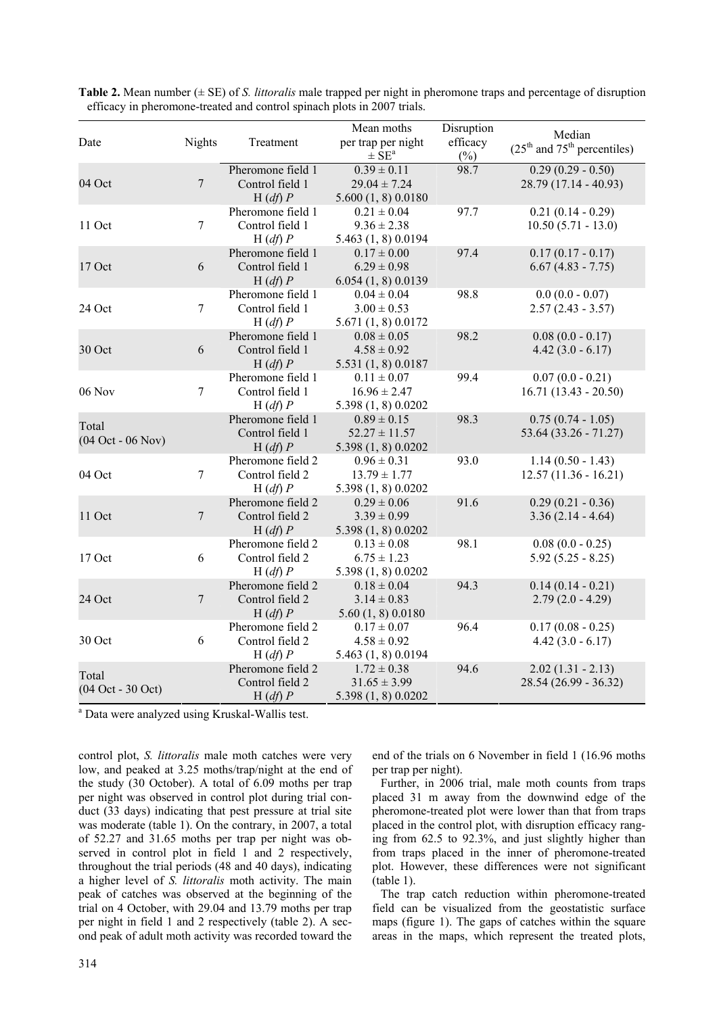| Date                                         | <b>Nights</b>    | Treatment                                       | Mean moths<br>per trap per night<br>$\pm$ SE <sup>a</sup>   | Disruption<br>efficacy<br>$(\%)$ | Median<br>$(25th$ and $75th$ percentiles)      |
|----------------------------------------------|------------------|-------------------------------------------------|-------------------------------------------------------------|----------------------------------|------------------------------------------------|
| 04 Oct                                       | $\boldsymbol{7}$ | Pheromone field 1<br>Control field 1<br>H(df) P | $0.39 \pm 0.11$<br>$29.04 \pm 7.24$<br>5.600(1, 8)0.0180    | 98.7                             | $0.29(0.29 - 0.50)$<br>28.79 (17.14 - 40.93)   |
| 11 Oct                                       | $\tau$           | Pheromone field 1<br>Control field 1<br>H(df) P | $0.21 \pm 0.04$<br>$9.36 \pm 2.38$<br>5.463 (1, 8) 0.0194   | 97.7                             | $0.21(0.14 - 0.29)$<br>$10.50(5.71 - 13.0)$    |
| 17 Oct                                       | 6                | Pheromone field 1<br>Control field 1<br>H(df) P | $0.17 \pm 0.00$<br>$6.29 \pm 0.98$<br>6.054(1, 8)0.0139     | 97.4                             | $0.17(0.17 - 0.17)$<br>$6.67(4.83 - 7.75)$     |
| 24 Oct                                       | $\overline{7}$   | Pheromone field 1<br>Control field 1<br>H(df) P | $0.04 \pm 0.04$<br>$3.00 \pm 0.53$<br>5.671 (1, 8) 0.0172   | 98.8                             | $0.0(0.0 - 0.07)$<br>$2.57(2.43 - 3.57)$       |
| 30 Oct                                       | 6                | Pheromone field 1<br>Control field 1<br>H(df) P | $0.08 \pm 0.05$<br>$4.58 \pm 0.92$<br>5.531 (1, 8) 0.0187   | 98.2                             | $0.08(0.0 - 0.17)$<br>$4.42(3.0 - 6.17)$       |
| 06 Nov                                       | $\overline{7}$   | Pheromone field 1<br>Control field 1<br>H(df) P | $0.11 \pm 0.07$<br>$16.96 \pm 2.47$<br>5.398 (1, 8) 0.0202  | 99.4                             | $0.07(0.0 - 0.21)$<br>$16.71(13.43 - 20.50)$   |
| Total<br>$(04 \text{ Oct} - 06 \text{ Nov})$ |                  | Pheromone field 1<br>Control field 1<br>H(df) P | $0.89 \pm 0.15$<br>$52.27 \pm 11.57$<br>5.398 (1, 8) 0.0202 | 98.3                             | $0.75(0.74 - 1.05)$<br>$53.64$ (33.26 - 71.27) |
| 04 Oct                                       | $\overline{7}$   | Pheromone field 2<br>Control field 2<br>H(df) P | $0.96 \pm 0.31$<br>$13.79 \pm 1.77$<br>5.398 (1, 8) 0.0202  | 93.0                             | $1.14(0.50 - 1.43)$<br>$12.57(11.36 - 16.21)$  |
| 11 Oct                                       | $\boldsymbol{7}$ | Pheromone field 2<br>Control field 2<br>H(df) P | $0.29 \pm 0.06$<br>$3.39 \pm 0.99$<br>5.398 (1, 8) 0.0202   | 91.6                             | $0.29(0.21 - 0.36)$<br>$3.36(2.14 - 4.64)$     |
| 17 Oct                                       | 6                | Pheromone field 2<br>Control field 2<br>H(df) P | $0.13 \pm 0.08$<br>$6.75 \pm 1.23$<br>5.398 (1, 8) 0.0202   | 98.1                             | $0.08(0.0 - 0.25)$<br>$5.92(5.25 - 8.25)$      |
| 24 Oct                                       | $\boldsymbol{7}$ | Pheromone field 2<br>Control field 2<br>H(df) P | $0.18 \pm 0.04$<br>$3.14 \pm 0.83$<br>5.60(1, 8)0.0180      | 94.3                             | $0.14(0.14 - 0.21)$<br>$2.79(2.0 - 4.29)$      |
| 30 Oct                                       | 6                | Pheromone field 2<br>Control field 2<br>H(df) P | $0.17 \pm 0.07$<br>$4.58 \pm 0.92$<br>5.463 (1, 8) 0.0194   | 96.4                             | $0.17(0.08 - 0.25)$<br>$4.42(3.0 - 6.17)$      |
| Total<br>(04 Oct - 30 Oct)                   |                  | Pheromone field 2<br>Control field 2<br>H(df) P | $1.72 \pm 0.38$<br>$31.65 \pm 3.99$<br>5.398 (1, 8) 0.0202  | 94.6                             | $2.02(1.31 - 2.13)$<br>$28.54(26.99 - 36.32)$  |

| Table 2. Mean number $(\pm \text{SE})$ of S. littoralis male trapped per night in pheromone traps and percentage of disruption |  |
|--------------------------------------------------------------------------------------------------------------------------------|--|
| efficacy in pheromone-treated and control spinach plots in 2007 trials.                                                        |  |

<sup>a</sup> Data were analyzed using Kruskal-Wallis test.

control plot, *S. littoralis* male moth catches were very low, and peaked at 3.25 moths/trap/night at the end of the study (30 October). A total of 6.09 moths per trap per night was observed in control plot during trial conduct (33 days) indicating that pest pressure at trial site was moderate (table 1). On the contrary, in 2007, a total of 52.27 and 31.65 moths per trap per night was observed in control plot in field 1 and 2 respectively, throughout the trial periods (48 and 40 days), indicating a higher level of *S. littoralis* moth activity. The main peak of catches was observed at the beginning of the trial on 4 October, with 29.04 and 13.79 moths per trap per night in field 1 and 2 respectively (table 2). A second peak of adult moth activity was recorded toward the end of the trials on 6 November in field 1 (16.96 moths per trap per night).

Further, in 2006 trial, male moth counts from traps placed 31 m away from the downwind edge of the pheromone-treated plot were lower than that from traps placed in the control plot, with disruption efficacy ranging from 62.5 to 92.3%, and just slightly higher than from traps placed in the inner of pheromone-treated plot. However, these differences were not significant (table 1).

The trap catch reduction within pheromone-treated field can be visualized from the geostatistic surface maps (figure 1). The gaps of catches within the square areas in the maps, which represent the treated plots,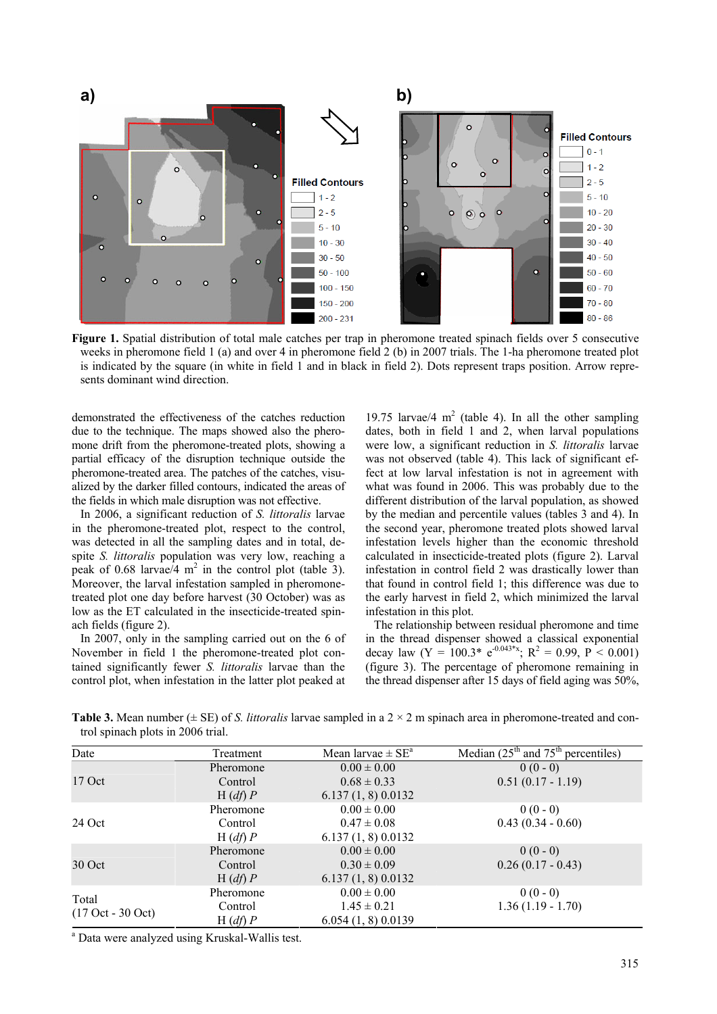

**Figure 1.** Spatial distribution of total male catches per trap in pheromone treated spinach fields over 5 consecutive weeks in pheromone field 1 (a) and over 4 in pheromone field 2 (b) in 2007 trials. The 1-ha pheromone treated plot is indicated by the square (in white in field 1 and in black in field 2). Dots represent traps position. Arrow represents dominant wind direction.

demonstrated the effectiveness of the catches reduction due to the technique. The maps showed also the pheromone drift from the pheromone-treated plots, showing a partial efficacy of the disruption technique outside the pheromone-treated area. The patches of the catches, visualized by the darker filled contours, indicated the areas of the fields in which male disruption was not effective.

In 2006, a significant reduction of *S. littoralis* larvae in the pheromone-treated plot, respect to the control, was detected in all the sampling dates and in total, despite *S. littoralis* population was very low, reaching a peak of 0.68 larvae/ $\frac{4}{1}$  m<sup>2</sup> in the control plot (table 3). Moreover, the larval infestation sampled in pheromonetreated plot one day before harvest (30 October) was as low as the ET calculated in the insecticide-treated spinach fields (figure 2).

In 2007, only in the sampling carried out on the 6 of November in field 1 the pheromone-treated plot contained significantly fewer *S. littoralis* larvae than the control plot, when infestation in the latter plot peaked at

19.75 larvae/4  $m<sup>2</sup>$  (table 4). In all the other sampling dates, both in field 1 and 2, when larval populations were low, a significant reduction in *S. littoralis* larvae was not observed (table 4). This lack of significant effect at low larval infestation is not in agreement with what was found in 2006. This was probably due to the different distribution of the larval population, as showed by the median and percentile values (tables 3 and 4). In the second year, pheromone treated plots showed larval infestation levels higher than the economic threshold calculated in insecticide-treated plots (figure 2). Larval infestation in control field 2 was drastically lower than that found in control field 1; this difference was due to the early harvest in field 2, which minimized the larval infestation in this plot.

The relationship between residual pheromone and time in the thread dispenser showed a classical exponential decay law  $(Y = 100.3^* e^{0.043^*x}$ ;  $R^2 = 0.99$ ,  $P < 0.001$ ) (figure 3). The percentage of pheromone remaining in the thread dispenser after 15 days of field aging was 50%,

**Table 3.** Mean number ( $\pm$  SE) of *S. littoralis* larvae sampled in a 2  $\times$  2 m spinach area in pheromone-treated and control spinach plots in 2006 trial.

| Date                                         | Treatment | Mean larvae $\pm$ SE <sup>a</sup> | Median $(25th$ and $75th$ percentiles) |
|----------------------------------------------|-----------|-----------------------------------|----------------------------------------|
|                                              | Pheromone | $0.00 \pm 0.00$                   | $0(0-0)$                               |
| $17$ Oct                                     | Control   | $0.68 \pm 0.33$                   | $0.51(0.17 - 1.19)$                    |
|                                              | H(df) P   | 6.137(1, 8)0.0132                 |                                        |
| 24 Oct                                       | Pheromone | $0.00 \pm 0.00$                   | $0(0-0)$                               |
|                                              | Control   | $0.47 \pm 0.08$                   | $0.43(0.34 - 0.60)$                    |
|                                              | H(df) P   | 6.137(1, 8)0.0132                 |                                        |
| 30 Oct                                       | Pheromone | $0.00 \pm 0.00$                   | $0(0-0)$                               |
|                                              | Control   | $0.30 \pm 0.09$                   | $0.26(0.17 - 0.43)$                    |
|                                              | H(df) P   | 6.137(1, 8)0.0132                 |                                        |
| Total<br>$(17 \text{ Oct} - 30 \text{ Oct})$ | Pheromone | $0.00 \pm 0.00$                   | $0(0-0)$                               |
|                                              | Control   | $1.45 \pm 0.21$                   | $1.36(1.19 - 1.70)$                    |
|                                              | H(df) P   | 6.054(1, 8)0.0139                 |                                        |

<sup>a</sup> Data were analyzed using Kruskal-Wallis test.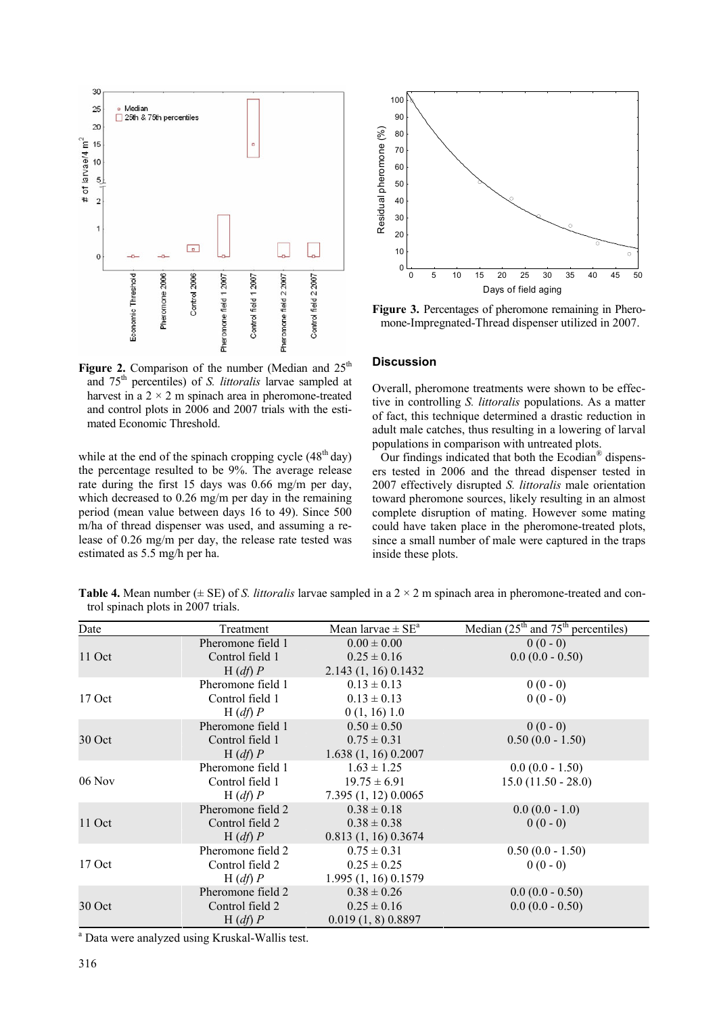

Figure 2. Comparison of the number (Median and 25<sup>th</sup> and 75th percentiles) of *S. littoralis* larvae sampled at harvest in a  $2 \times 2$  m spinach area in pheromone-treated and control plots in 2006 and 2007 trials with the estimated Economic Threshold.

while at the end of the spinach cropping cycle  $(48<sup>th</sup> \, \text{day})$ the percentage resulted to be 9%. The average release rate during the first 15 days was 0.66 mg/m per day, which decreased to 0.26 mg/m per day in the remaining period (mean value between days 16 to 49). Since 500 m/ha of thread dispenser was used, and assuming a release of 0.26 mg/m per day, the release rate tested was estimated as 5.5 mg/h per ha.



**Figure 3.** Percentages of pheromone remaining in Pheromone-Impregnated-Thread dispenser utilized in 2007.

## **Discussion**

Overall, pheromone treatments were shown to be effective in controlling *S. littoralis* populations. As a matter of fact, this technique determined a drastic reduction in adult male catches, thus resulting in a lowering of larval populations in comparison with untreated plots.

Our findings indicated that both the Ecodian® dispensers tested in 2006 and the thread dispenser tested in 2007 effectively disrupted *S. littoralis* male orientation toward pheromone sources, likely resulting in an almost complete disruption of mating. However some mating could have taken place in the pheromone-treated plots, since a small number of male were captured in the traps inside these plots.

**Table 4.** Mean number ( $\pm$  SE) of *S. littoralis* larvae sampled in a 2  $\times$  2 m spinach area in pheromone-treated and control spinach plots in 2007 trials.

| Date     | Treatment         | Mean larvae $\pm$ SE <sup>a</sup> | Median $(25th$ and $75th$ percentiles) |
|----------|-------------------|-----------------------------------|----------------------------------------|
|          | Pheromone field 1 | $0.00 \pm 0.00$                   | $0(0-0)$                               |
| 11 Oct   | Control field 1   | $0.25 \pm 0.16$                   | $0.0(0.0 - 0.50)$                      |
|          | H(df) P           | 2.143(1, 16)0.1432                |                                        |
|          | Pheromone field 1 | $0.13 \pm 0.13$                   | $0(0-0)$                               |
| $17$ Oct | Control field 1   | $0.13 \pm 0.13$                   | $0(0-0)$                               |
|          | H(df) P           | 0(1, 16)1.0                       |                                        |
|          | Pheromone field 1 | $0.50 \pm 0.50$                   | $0(0-0)$                               |
| 30 Oct   | Control field 1   | $0.75 \pm 0.31$                   | $0.50(0.0 - 1.50)$                     |
|          | H(df) P           | 1.638(1, 16)0.2007                |                                        |
|          | Pheromone field 1 | $1.63 \pm 1.25$                   | $0.0(0.0 - 1.50)$                      |
| 06 Nov   | Control field 1   | $19.75 \pm 6.91$                  | $15.0(11.50 - 28.0)$                   |
|          | H(df) P           | 7.395(1, 12)0.0065                |                                        |
|          | Pheromone field 2 | $0.38 \pm 0.18$                   | $0.0(0.0 - 1.0)$                       |
| 11 Oct   | Control field 2   | $0.38 \pm 0.38$                   | $0(0-0)$                               |
|          | H(df) P           | 0.813(1, 16)0.3674                |                                        |
|          | Pheromone field 2 | $0.75 \pm 0.31$                   | $0.50(0.0 - 1.50)$                     |
| 17 Oct   | Control field 2   | $0.25 \pm 0.25$                   | $0(0-0)$                               |
|          | H(df) P           | 1.995 (1, 16) 0.1579              |                                        |
|          | Pheromone field 2 | $0.38 \pm 0.26$                   | $0.0(0.0 - 0.50)$                      |
| 30 Oct   | Control field 2   | $0.25 \pm 0.16$                   | $0.0(0.0 - 0.50)$                      |
|          | H(df) P           | 0.019(1, 8)0.8897                 |                                        |

<sup>a</sup> Data were analyzed using Kruskal-Wallis test.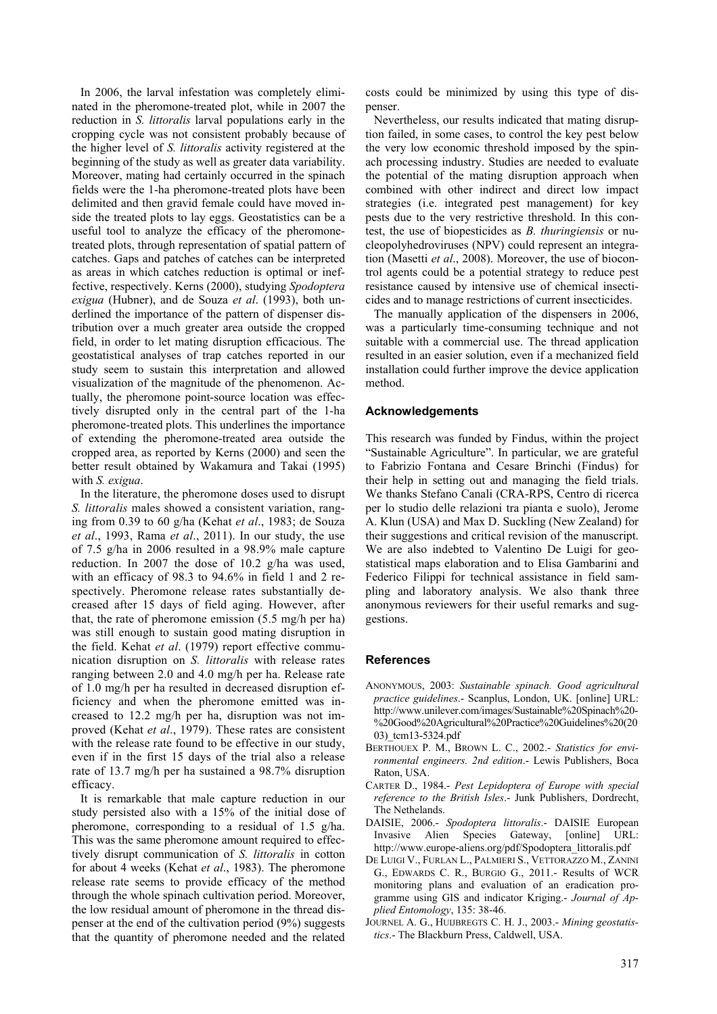In 2006, the larval infestation was completely eliminated in the pheromone-treated plot, while in 2007 the reduction in *S. littoralis* larval populations early in the cropping cycle was not consistent probably because of the higher level of *S. littoralis* activity registered at the beginning of the study as well as greater data variability. Moreover, mating had certainly occurred in the spinach fields were the 1-ha pheromone-treated plots have been delimited and then gravid female could have moved inside the treated plots to lay eggs. Geostatistics can be a useful tool to analyze the efficacy of the pheromonetreated plots, through representation of spatial pattern of catches. Gaps and patches of catches can be interpreted as areas in which catches reduction is optimal or ineffective, respectively. Kerns (2000), studying *Spodoptera exigua* (Hubner), and de Souza *et al*. (1993), both underlined the importance of the pattern of dispenser distribution over a much greater area outside the cropped field, in order to let mating disruption efficacious. The geostatistical analyses of trap catches reported in our study seem to sustain this interpretation and allowed visualization of the magnitude of the phenomenon. Actually, the pheromone point-source location was effectively disrupted only in the central part of the 1-ha pheromone-treated plots. This underlines the importance of extending the pheromone-treated area outside the cropped area, as reported by Kerns (2000) and seen the better result obtained by Wakamura and Takai (1995) with *S. exigua*.

In the literature, the pheromone doses used to disrupt *S. littoralis* males showed a consistent variation, ranging from 0.39 to 60 g/ha (Kehat *et al*., 1983; de Souza *et al*., 1993, Rama *et al*., 2011). In our study, the use of 7.5 g/ha in 2006 resulted in a 98.9% male capture reduction. In 2007 the dose of 10.2 g/ha was used, with an efficacy of 98.3 to 94.6% in field 1 and 2 respectively. Pheromone release rates substantially decreased after 15 days of field aging. However, after that, the rate of pheromone emission (5.5 mg/h per ha) was still enough to sustain good mating disruption in the field. Kehat *et al*. (1979) report effective communication disruption on *S. littoralis* with release rates ranging between 2.0 and 4.0 mg/h per ha. Release rate of 1.0 mg/h per ha resulted in decreased disruption efficiency and when the pheromone emitted was increased to 12.2 mg/h per ha, disruption was not improved (Kehat *et al*., 1979). These rates are consistent with the release rate found to be effective in our study, even if in the first 15 days of the trial also a release rate of 13.7 mg/h per ha sustained a 98.7% disruption efficacy.

It is remarkable that male capture reduction in our study persisted also with a 15% of the initial dose of pheromone, corresponding to a residual of 1.5 g/ha. This was the same pheromone amount required to effectively disrupt communication of *S. littoralis* in cotton for about 4 weeks (Kehat *et al*., 1983). The pheromone release rate seems to provide efficacy of the method through the whole spinach cultivation period. Moreover, the low residual amount of pheromone in the thread dispenser at the end of the cultivation period (9%) suggests that the quantity of pheromone needed and the related

costs could be minimized by using this type of dispenser.

Nevertheless, our results indicated that mating disruption failed, in some cases, to control the key pest below the very low economic threshold imposed by the spinach processing industry. Studies are needed to evaluate the potential of the mating disruption approach when combined with other indirect and direct low impact strategies (i.e. integrated pest management) for key pests due to the very restrictive threshold. In this contest, the use of biopesticides as *B. thuringiensis* or nucleopolyhedroviruses (NPV) could represent an integration (Masetti *et al*., 2008). Moreover, the use of biocontrol agents could be a potential strategy to reduce pest resistance caused by intensive use of chemical insecticides and to manage restrictions of current insecticides.

The manually application of the dispensers in 2006, was a particularly time-consuming technique and not suitable with a commercial use. The thread application resulted in an easier solution, even if a mechanized field installation could further improve the device application method.

## **Acknowledgements**

This research was funded by Findus, within the project "Sustainable Agriculture". In particular, we are grateful to Fabrizio Fontana and Cesare Brinchi (Findus) for their help in setting out and managing the field trials. We thanks Stefano Canali (CRA-RPS, Centro di ricerca per lo studio delle relazioni tra pianta e suolo), Jerome A. Klun (USA) and Max D. Suckling (New Zealand) for their suggestions and critical revision of the manuscript. We are also indebted to Valentino De Luigi for geostatistical maps elaboration and to Elisa Gambarini and Federico Filippi for technical assistance in field sampling and laboratory analysis. We also thank three anonymous reviewers for their useful remarks and suggestions.

#### **References**

- ANONYMOUS, 2003: *Sustainable spinach. Good agricultural practice guidelines*.- Scanplus, London, UK. [online] URL: http://www.unilever.com/images/Sustainable%20Spinach%20- %20Good%20Agricultural%20Practice%20Guidelines%20(20 03)\_tcm13-5324.pdf
- BERTHOUEX P. M., BROWN L. C., 2002.- *Statistics for environmental engineers. 2nd edition*.- Lewis Publishers, Boca Raton, USA.
- CARTER D., 1984.- *Pest Lepidoptera of Europe with special reference to the British Isles*.- Junk Publishers, Dordrecht, The Nethelands.
- DAISIE, 2006.- *Spodoptera littoralis*.- DAISIE European Invasive Alien Species Gateway, [online] URL: http://www.europe-aliens.org/pdf/Spodoptera\_littoralis.pdf
- DE LUIGI V., FURLAN L., PALMIERI S., VETTORAZZO M., ZANINI G., EDWARDS C. R., BURGIO G., 2011.- Results of WCR monitoring plans and evaluation of an eradication programme using GIS and indicator Kriging.- *Journal of Applied Entomology*, 135: 38-46.
- JOURNEL A. G., HUIJBREGTS C. H. J., 2003.- *Mining geostatistics*.- The Blackburn Press, Caldwell, USA.